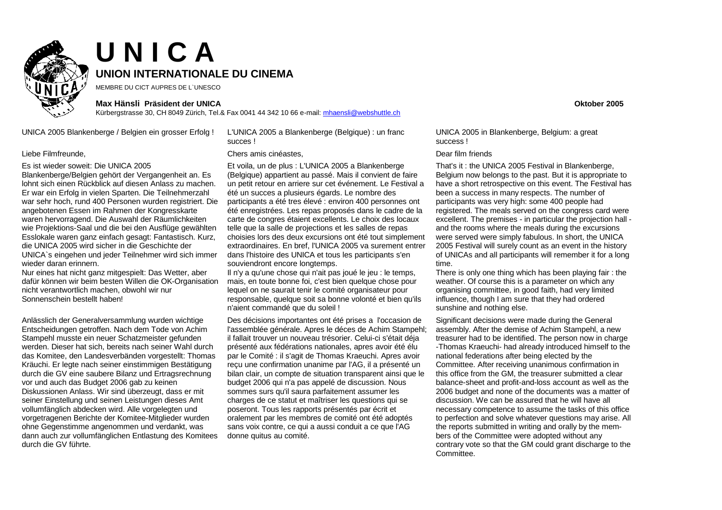

# **U N I C A UNION INTERNATIONALE DU CINEMA**

MEMBRE DU CICT AUPRES DE L`UNESCO

### **Max Hänsli Präsident der UNICA Oktober 2005**

Kürbergstrasse 30, CH 8049 Zürich, Tel.& Fax 0041 44 342 10 66 e-mail: mhaensli@webshuttle.ch

UNICA 2005 Blankenberge / Belgien ein grosser Erfolg ! L'UNICA 2005 a Blankenberge (Belgique) : un franc

### Es ist wieder soweit: Die UNICA 2005

Blankenberge/Belgien gehört der Vergangenheit an. Es lohnt sich einen Rückblick auf diesen Anlass zu machen. Er war ein Erfolg in vielen Sparten. Die Teilnehmerzahl war sehr hoch, rund 400 Personen wurden registriert. Die angebotenen Essen im Rahmen der Kongresskarte waren hervorragend. Die Auswahl der Räumlichkeiten wie Projektions-Saal und die bei den Ausflüge gewählten Esslokale waren ganz einfach gesagt: Fantastisch. Kurz, die UNICA 2005 wird sicher in die Geschichte der UNICA`s eingehen und jeder Teilnehmer wird sich immer wieder daran erinnern.

Nur eines hat nicht ganz mitgespielt: Das Wetter, aber dafür können wir beim besten Willen die OK-Organisation nicht verantwortlich machen, obwohl wir nur Sonnenschein bestellt haben!

Anlässlich der Generalversammlung wurden wichtige Entscheidungen getroffen. Nach dem Tode von Achim Stampehl musste ein neuer Schatzmeister gefunden werden. Dieser hat sich, bereits nach seiner Wahl durch das Komitee, den Landesverbänden vorgestellt: Thomas Kräuchi. Er legte nach seiner einstimmigen Bestätigung durch die GV eine saubere Bilanz und Ertragsrechnung vor und auch das Budget 2006 gab zu keinen Diskussionen Anlass. Wir sind überzeugt, dass er mit seiner Einstellung und seinen Leistungen dieses Amt vollumfänglich abdecken wird. Alle vorgelegten und vorgetragenen Berichte der Komitee-Mitglieder wurden ohne Gegenstimme angenommen und verdankt, was dann auch zur vollumfänglichen Entlastung des Komitees durch die GV führte.

succes !

## Liebe Filmfreunde, Chers amis cinéastes, Dear film friends

Et voila, un de plus : L'UNICA 2005 a Blankenberge (Belgique) appartient au passé. Mais il convient de faire un petit retour en arriere sur cet événement. Le Festival a été un succes a plusieurs égards. Le nombre des participants a été tres élevé : environ 400 personnes ont été enregistrées. Les repas proposés dans le cadre de la carte de congres étaient excellents. Le choix des locaux telle que la salle de projections et les salles de repas choisies lors des deux excursions ont été tout simplement extraordinaires. En bref, l'UNICA 2005 va surement entrer dans l'histoire des UNICA et tous les participants s'en souviendront encore longtemps.

Il n'y a qu'une chose qui n'ait pas joué le jeu : le temps, mais, en toute bonne foi, c'est bien quelque chose pour lequel on ne saurait tenir le comité organisateur pour responsable, quelque soit sa bonne volonté et bien qu'ils n'aient commandé que du soleil !

Des décisions importantes ont été prises a l'occasion de l'assemblée générale. Apres le déces de Achim Stampehl; il fallait trouver un nouveau trésorier. Celui-ci s'était déja présenté aux fédérations nationales, apres avoir été élu par le Comité : il s'agit de Thomas Kraeuchi. Apres avoir reçu une confirmation unanime par l'AG, il a présenté un bilan clair, un compte de situation transparent ainsi que le budget 2006 qui n'a pas appelé de discussion. Nous sommes surs qu'il saura parfaitement assumer les charges de ce statut et maîtriser les questions qui se poseront. Tous les rapports présentés par écrit et oralement par les membres de comité ont été adoptés sans voix contre, ce qui a aussi conduit a ce que l'AG donne quitus au comité.

UNICA 2005 in Blankenberge, Belgium: a great success !

That's it : the UNICA 2005 Festival in Blankenberge, Belgium now belongs to the past. But it is appropriate to have a short retrospective on this event. The Festival has been a success in many respects. The number of participants was very high: some 400 people had registered. The meals served on the congress card were excellent. The premises - in particular the projection hall and the rooms where the meals during the excursions were served were simply fabulous. In short, the UNICA 2005 Festival will surely count as an event in the history of UNICAs and all participants will remember it for a long time.

There is only one thing which has been playing fair : the weather. Of course this is a parameter on which any organising committee, in good faith, had very limited influence, though I am sure that they had ordered sunshine and nothing else.

Significant decisions were made during the General assembly. After the demise of Achim Stampehl, a new treasurer had to be identified. The person now in charge -Thomas Kraeuchi- had already introduced himself to the national federations after being elected by the Committee. After receiving unanimous confirmation in this office from the GM, the treasurer submitted a clear balance-sheet and profit-and-loss account as well as the 2006 budget and none of the documents was a matter of discussion. We can be assured that he will have all necessary competence to assume the tasks of this office to perfection and solve whatever questions may arise. All the reports submitted in writing and orally by the members of the Committee were adopted without any contrary vote so that the GM could grant discharge to the **Committee**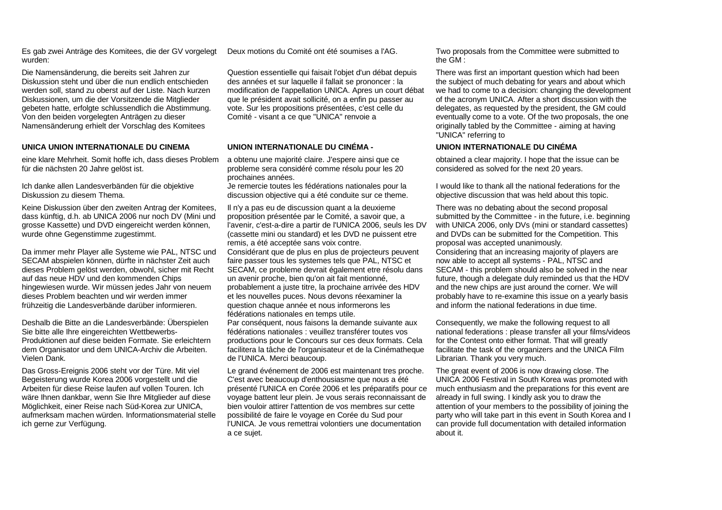Es gab zwei Anträge des Komitees, die der GV vorgelegt wurden:

Die Namensänderung, die bereits seit Jahren zur Diskussion steht und über die nun endlich entschieden werden soll, stand zu oberst auf der Liste. Nach kurzen Diskussionen, um die der Vorsitzende die Mitglieder gebeten hatte, erfolgte schlussendlich die Abstimmung. Von den beiden vorgelegten Anträgen zu dieser Namensänderung erhielt der Vorschlag des Komitees

# **UNICA UNION INTERNATIONALE DU CINEMA UNION INTERNATIONALE DU CINÉMA - UNION INTERNATIONALE DU CINÉMA**

eine klare Mehrheit. Somit hoffe ich, dass dieses Problem für die nächsten 20 Jahre gelöst ist.

Ich danke allen Landesverbänden für die objektive Diskussion zu diesem Thema.

Keine Diskussion über den zweiten Antrag der Komitees, dass künftig, d.h. ab UNICA 2006 nur noch DV (Mini und grosse Kassette) und DVD eingereicht werden können, wurde ohne Gegenstimme zugestimmt.

Da immer mehr Player alle Systeme wie PAL, NTSC und SECAM abspielen können, dürfte in nächster Zeit auch dieses Problem gelöst werden, obwohl, sicher mit Recht auf das neue HDV und den kommenden Chips hingewiesen wurde. Wir müssen jedes Jahr von neuem dieses Problem beachten und wir werden immer frühzeitig die Landesverbände darüber informieren.

Deshalb die Bitte an die Landesverbände: Überspielen Sie bitte alle Ihre eingereichten Wettbewerbs-Produktionen auf diese beiden Formate. Sie erleichtern dem Organisator und dem UNICA-Archiv die Arbeiten. Vielen Dank.

Das Gross-Ereignis 2006 steht vor der Türe. Mit viel Begeisterung wurde Korea 2006 vorgestellt und die Arbeiten für diese Reise laufen auf vollen Touren. Ich wäre Ihnen dankbar, wenn Sie Ihre Mitglieder auf diese Möglichkeit, einer Reise nach Süd-Korea zur UNICA, aufmerksam machen würden. Informationsmaterial stelle ich gerne zur Verfügung.

Question essentielle qui faisait l'objet d'un débat depuis des années et sur laquelle il fallait se prononcer : la modification de l'appellation UNICA. Apres un court débat que le président avait sollicité, on a enfin pu passer au vote. Sur les propositions présentées, c'est celle du Comité - visant a ce que "UNICA" renvoie a

a obtenu une majorité claire. J'espere ainsi que ce probleme sera considéré comme résolu pour les 20 prochaines années.

Je remercie toutes les fédérations nationales pour la discussion objective qui a été conduite sur ce theme.

Il n'y a pas eu de discussion quant a la deuxieme proposition présentée par le Comité, a savoir que, a l'avenir, c'est-a-dire a partir de l'UNICA 2006, seuls les DV (cassette mini ou standard) et les DVD ne puissent etre remis, a été acceptée sans voix contre. Considérant que de plus en plus de projecteurs peuvent faire passer tous les systemes tels que PAL, NTSC et SECAM, ce probleme devrait également etre résolu dans un avenir proche, bien qu'on ait fait mentionné, probablement a juste titre, la prochaine arrivée des HDV et les nouvelles puces. Nous devons réexaminer la question chaque année et nous informerons les fédérations nationales en temps utile.

Par conséquent, nous faisons la demande suivante aux fédérations nationales : veuillez transférer toutes vos productions pour le Concours sur ces deux formats. Cela facilitera la tâche de l'organisateur et de la Cinématheque de l'UNICA. Merci beaucoup.

Le grand événement de 2006 est maintenant tres proche. C'est avec beaucoup d'enthousiasme que nous a été présenté l'UNICA en Corée 2006 et les préparatifs pour ce voyage battent leur plein. Je vous serais reconnaissant de bien vouloir attirer l'attention de vos membres sur cette possibilité de faire le voyage en Corée du Sud pour l'UNICA. Je vous remettrai volontiers une documentation a ce sujet.

Deux motions du Comité ont été soumises a l'AG. Two proposals from the Committee were submitted to the GM :

> There was first an important question which had been the subject of much debating for years and about which we had to come to a decision: changing the development of the acronym UNICA. After a short discussion with the delegates, as requested by the president, the GM could eventually come to a vote. Of the two proposals, the one originally tabled by the Committee - aiming at having "UNICA" referring to

obtained a clear majority. I hope that the issue can be considered as solved for the next 20 years.

I would like to thank all the national federations for the objective discussion that was held about this topic.

There was no debating about the second proposal submitted by the Committee - in the future, i.e. beginning with UNICA 2006, only DVs (mini or standard cassettes) and DVDs can be submitted for the Competition. This proposal was accepted unanimously. Considering that an increasing majority of players are now able to accept all systems - PAL, NTSC and SECAM - this problem should also be solved in the near future, though a delegate duly reminded us that the HDV and the new chips are just around the corner. We will probably have to re-examine this issue on a yearly basis and inform the national federations in due time.

Consequently, we make the following request to all national federations : please transfer all your films/videos for the Contest onto either format. That will greatly facilitate the task of the organizers and the UNICA Film Librarian. Thank you very much.

The great event of 2006 is now drawing close. The UNICA 2006 Festival in South Korea was promoted with much enthusiasm and the preparations for this event are already in full swing. I kindly ask you to draw the attention of your members to the possibility of joining the party who will take part in this event in South Korea and I can provide full documentation with detailed information about it.